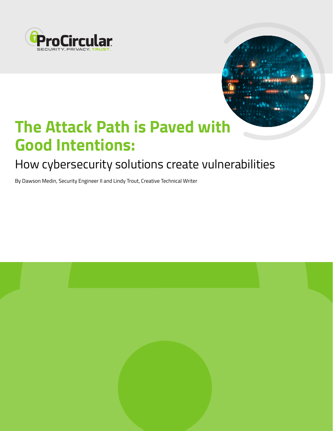



# **The Attack Path is Paved with Good Intentions:**

# How cybersecurity solutions create vulnerabilities

By Dawson Medin, Security Engineer II and Lindy Trout, Creative Technical Writer

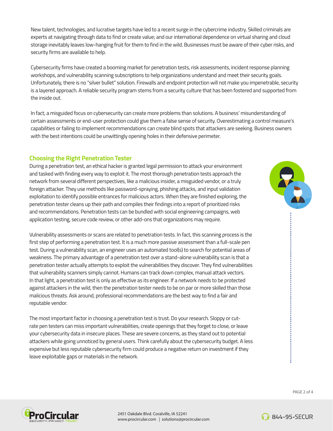New talent, technologies, and lucrative targets have led to a recent surge in the cybercrime industry. Skilled criminals are experts at navigating through data to find or create value; and our international dependence on virtual sharing and cloud storage inevitably leaves low-hanging fruit for them to find in the wild. Businesses must be aware of their cyber risks, and security firms are available to help.

Cybersecurity firms have created a booming market for penetration tests, risk assessments, incident response planning workshops, and vulnerability scanning subscriptions to help organizations understand and meet their security goals. Unfortunately, there is no "silver bullet" solution. Firewalls and endpoint protection will not make you impenetrable, security is a layered approach. A reliable security program stems from a security culture that has been fostered and supported from the inside out.

In fact, a misguided focus on cybersecurity can create more problems than solutions. A business' misunderstanding of certain assessments or end-user protection could give them a false sense of security. Overestimating a control measure's capabilities or failing to implement recommendations can create blind spots that attackers are seeking. Business owners with the best intentions could be unwittingly opening holes in their defensive perimeter.

## **Choosing the Right Penetration Tester**

During a penetration test, an ethical hacker is granted legal permission to attack your environment and tasked with finding every way to exploit it. The most thorough penetration tests approach the network from several different perspectives, like a malicious insider, a misguided vendor, or a truly foreign attacker. They use methods like password-spraying, phishing attacks, and input validation exploitation to identify possible entrances for malicious actors. When they are finished exploring, the penetration tester cleans up their path and compiles their findings into a report of prioritized risks and recommendations. Penetration tests can be bundled with social engineering campaigns, web application testing, secure code review, or other add-ons that organizations may require.

Vulnerability assessments or scans are related to penetration tests. In fact, this scanning process is the first step of performing a penetration test. It is a much more passive assessment than a full-scale pen test. During a vulnerability scan, an engineer uses an automated tool(s) to search for potential areas of weakness. The primary advantage of a penetration test over a stand-alone vulnerability scan is that a penetration tester actually attempts to exploit the vulnerabilities they discover. They find vulnerabilities that vulnerability scanners simply cannot. Humans can track down complex, manual attack vectors. In that light, a penetration test is only as effective as its engineer. If a network needs to be protected against attackers in the wild, then the penetration tester needs to be on par or more skilled than those malicious threats. Ask around, professional recommendations are the best way to find a fair and reputable vendor.

The most important factor in choosing a penetration test is trust. Do your research. Sloppy or cutrate pen testers can miss important vulnerabilities, create openings that they forget to close, or leave your cybersecurity data in insecure places. These are severe concerns, as they stand out to potential attackers while going unnoticed by general users. Think carefully about the cybersecurity budget. A less expensive but less reputable cybersecurity firm could produce a negative return on investment if they leave exploitable gaps or materials in the network.





2451 Oakdale Blvd. Coralville, IA 52241 www.procircular.com | solutions@procircular.com



**6** 844-95-SECUR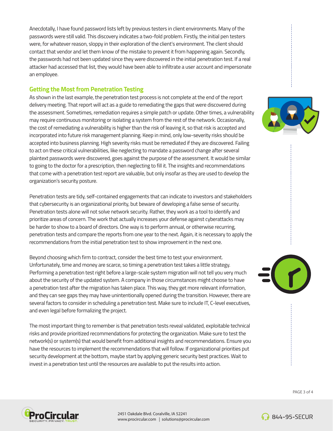Anecdotally, I have found password lists left by previous testers in client environments. Many of the passwords were still valid. This discovery indicates a two-fold problem. Firstly, the initial pen testers were, for whatever reason, sloppy in their exploration of the client's environment. The client should contact that vendor and let them know of the mistake to prevent it from happening again. Secondly, the passwords had not been updated since they were discovered in the initial penetration test. If a real attacker had accessed that list, they would have been able to infiltrate a user account and impersonate an employee.

### **Getting the Most from Penetration Testing**

As shown in the last example, the penetration test process is not complete at the end of the report delivery meeting. That report will act as a guide to remediating the gaps that were discovered during the assessment. Sometimes, remediation requires a simple patch or update. Other times, a vulnerability may require continuous monitoring or isolating a system from the rest of the network. Occasionally, the cost of remediating a vulnerability is higher than the risk of leaving it, so that risk is accepted and incorporated into future risk management planning. Keep in mind, only low-severity risks should be accepted into business planning. High severity risks must be remediated if they are discovered. Failing to act on these critical vulnerabilities, like neglecting to mandate a password change after several plaintext passwords were discovered, goes against the purpose of the assessment. It would be similar to going to the doctor for a prescription, then neglecting to fill it. The insights and recommendations that come with a penetration test report are valuable, but only insofar as they are used to develop the organization's security posture.

Penetration tests are tidy, self-contained engagements that can indicate to investors and stakeholders that cybersecurity is an organizational priority, but beware of developing a false sense of security. Penetration tests alone will not solve network security. Rather, they work as a tool to identify and prioritize areas of concern. The work that actually increases your defense against cyberattacks may be harder to show to a board of directors. One way is to perform annual, or otherwise recurring, penetration tests and compare the reports from one year to the next. Again, it is necessary to apply the recommendations from the initial penetration test to show improvement in the next one.

Beyond choosing which firm to contract, consider the best time to test your environment. Unfortunately, time and money are scarce, so timing a penetration test takes a little strategy. Performing a penetration test right before a large-scale system migration will not tell you very much about the security of the updated system. A company in those circumstances might choose to have a penetration test after the migration has taken place. This way, they get more relevant information, and they can see gaps they may have unintentionally opened during the transition. However, there are several factors to consider in scheduling a penetration test. Make sure to include IT, C-level executives, and even legal before formalizing the project.

The most important thing to remember is that penetration tests reveal validated, exploitable technical risks and provide prioritized recommendations for protecting the organization. Make sure to test the network(s) or system(s) that would benefit from additional insights and recommendations. Ensure you have the resources to implement the recommendations that will follow. If organizational priorities put security development at the bottom, maybe start by applying generic security best practices. Wait to invest in a penetration test until the resources are available to put the results into action.







2451 Oakdale Blvd. Coralville, IA 52241 www.procircular.com | solutions@procircular.com

**6** 844-95-SECUR